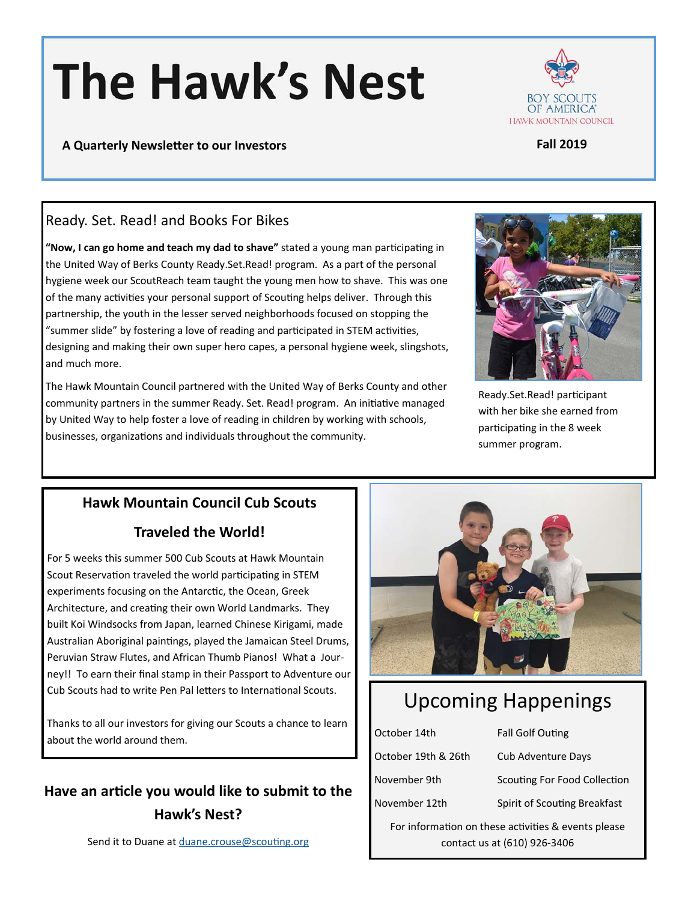# **The Hawk's Nest**



## Ready. Set. Read! and Books For Bikes

"Now, I can go home and teach my dad to shave" stated a young man participating in the United Way of Berks County Ready.Set.Read! program. As a part of the personal hygiene week our ScoutReach team taught the young men how to shave. This was one of the many activities your personal support of Scouting helps deliver. Through this partnership, the youth in the lesser served neighborhoods focused on stopping the "summer slide" by fostering a love of reading and participated in STEM activities, designing and making their own super hero capes, a personal hygiene week, slingshots, and much more.

The Hawk Mountain Council partnered with the United Way of Berks County and other community partners in the summer Ready. Set. Read! program. An initiative managed by United Way to help foster a love of reading in children by working with schools, businesses, organizations and individuals throughout the community.



Ready.Set.Read! participant with her bike she earned from participating in the 8 week summer program.

### **Hawk Mountain Council Cub Scouts**

### **Traveled the World!**

For 5 weeks this summer 500 Cub Scouts at Hawk Mountain Scout Reservation traveled the world participating in STEM experiments focusing on the Antarctic, the Ocean, Greek Architecture, and creating their own World Landmarks. They built Koi Windsocks from Japan, learned Chinese Kirigami, made Australian Aboriginal paintings, played the Jamaican Steel Drums, Peruvian Straw Flutes, and African Thumb Pianos! What a Journey!! To earn their final stamp in their Passport to Adventure our Cub Scouts had to write Pen Pal letters to International Scouts.

Thanks to all our investors for giving our Scouts a chance to learn about the world around them.

# **Have an arƟcle you would like to submit to the Hawk's Nest?**



# Upcoming Happenings

| October 14th                                        | <b>Fall Golf Outing</b>      |
|-----------------------------------------------------|------------------------------|
| October 19th & 26th                                 | <b>Cub Adventure Days</b>    |
| November 9th                                        | Scouting For Food Collection |
| November 12th                                       | Spirit of Scouting Breakfast |
| For information on these activities & events please |                              |
| contact us at (610) 926-3406                        |                              |